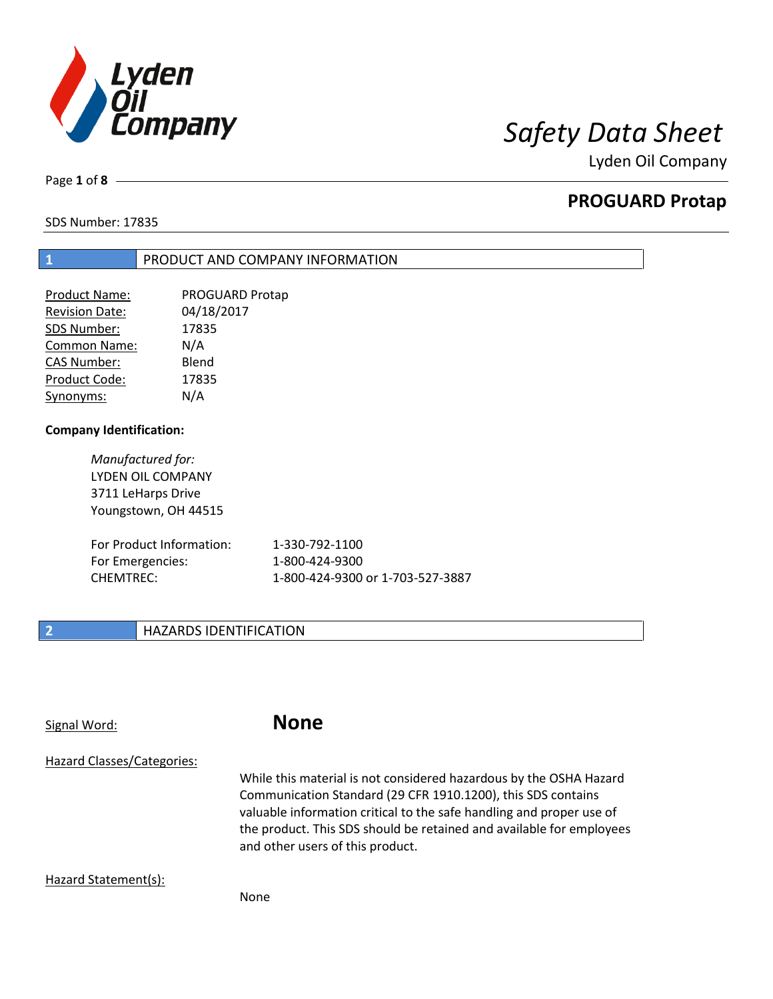

Page **1** of **8**

# **PROGUARD Protap**

SDS Number: 17835

## **1** PRODUCT AND COMPANY INFORMATION

| <b>Product Name:</b>  | <b>PROGUARD Protap</b> |
|-----------------------|------------------------|
| <b>Revision Date:</b> | 04/18/2017             |
| SDS Number:           | 17835                  |
| Common Name:          | N/A                    |
| <b>CAS Number:</b>    | Blend                  |
| Product Code:         | 17835                  |
| Synonyms:             | N/A                    |

## **Company Identification:**

| Manufactured for:<br>LYDEN OIL COMPANY<br>3711 LeHarps Drive |                                  |
|--------------------------------------------------------------|----------------------------------|
| Youngstown, OH 44515                                         |                                  |
| For Product Information:<br>For Emergencies:                 | 1-330-792-1100<br>1-800-424-9300 |
| <b>CHEMTREC:</b>                                             | 1-800-424-9300 or 1-703-527-3887 |

## **2 HAZARDS IDENTIFICATION**

## Signal Word: **None**

| Hazard Classes/Categories: | While this material is not considered hazardous by the OSHA Hazard<br>Communication Standard (29 CFR 1910.1200), this SDS contains<br>valuable information critical to the safe handling and proper use of<br>the product. This SDS should be retained and available for employees<br>and other users of this product. |
|----------------------------|------------------------------------------------------------------------------------------------------------------------------------------------------------------------------------------------------------------------------------------------------------------------------------------------------------------------|
| Hazard Statement(s):       | None                                                                                                                                                                                                                                                                                                                   |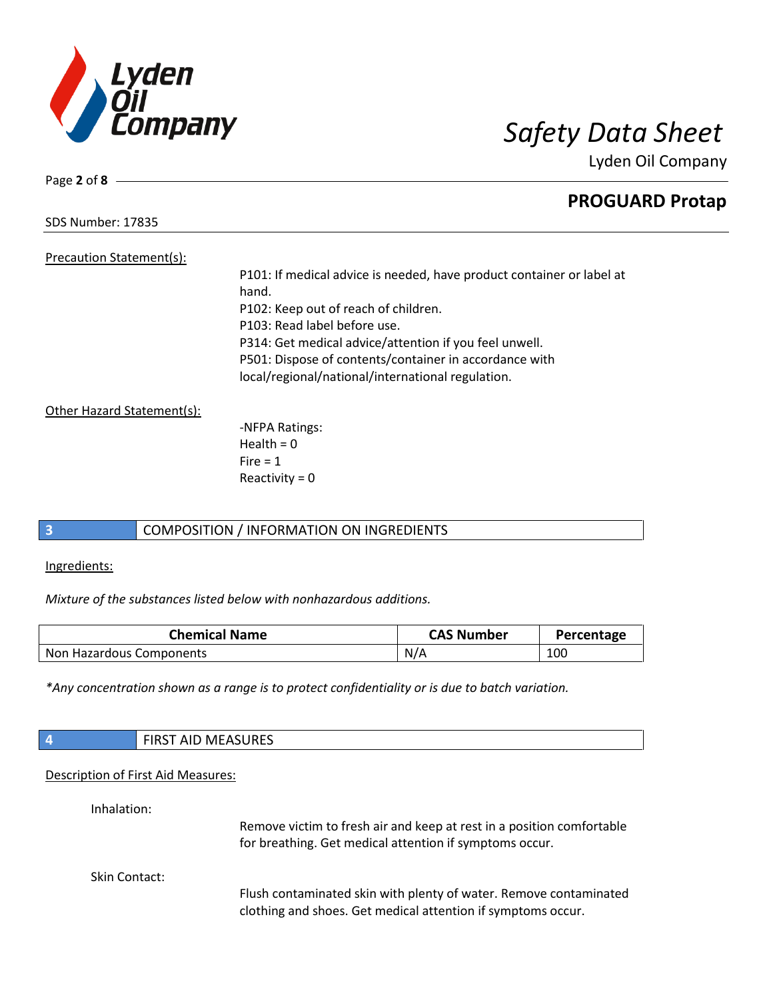

## **PROGUARD Protap**

SDS Number: 17835

Page **2** of **8**

Precaution Statement(s):

P101: If medical advice is needed, have product container or label at hand. P102: Keep out of reach of children. P103: Read label before use. P314: Get medical advice/attention if you feel unwell. P501: Dispose of contents/container in accordance with local/regional/national/international regulation.

Other Hazard Statement(s):

-NFPA Ratings: Health  $= 0$  $Fire = 1$ Reactivity  $= 0$ 

## **3** COMPOSITION / INFORMATION ON INGREDIENTS

Ingredients:

*Mixture of the substances listed below with nonhazardous additions.*

| <b>Chemical Name</b>     | <b>CAS Number</b> | Percentage |
|--------------------------|-------------------|------------|
| Non Hazardous Components | N/A               | 100        |

*\*Any concentration shown as a range is to protect confidentiality or is due to batch variation.*

|               | <b>FIRST AID MEASURES</b>                                                                                                         |  |  |
|---------------|-----------------------------------------------------------------------------------------------------------------------------------|--|--|
|               | Description of First Aid Measures:                                                                                                |  |  |
| Inhalation:   |                                                                                                                                   |  |  |
|               | Remove victim to fresh air and keep at rest in a position comfortable<br>for breathing. Get medical attention if symptoms occur.  |  |  |
| Skin Contact: |                                                                                                                                   |  |  |
|               | Flush contaminated skin with plenty of water. Remove contaminated<br>clothing and shoes. Get medical attention if symptoms occur. |  |  |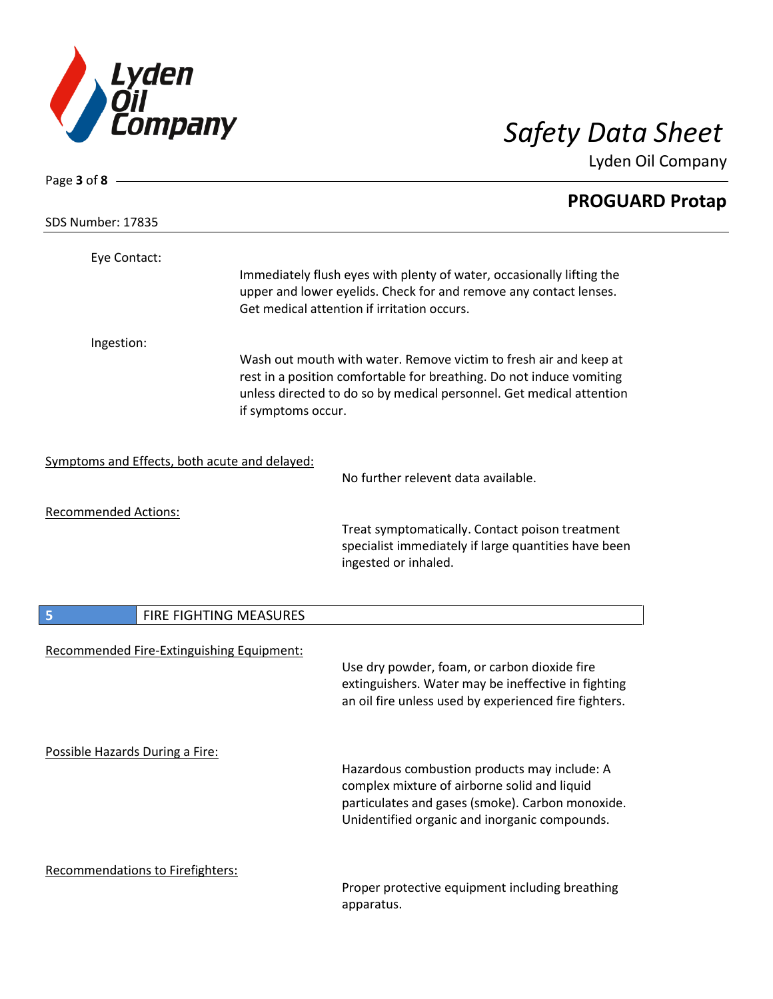

| Page 3 of 8 -                                 |                        |                                                                                                                                            |  |
|-----------------------------------------------|------------------------|--------------------------------------------------------------------------------------------------------------------------------------------|--|
|                                               |                        | <b>PROGUARD Protap</b>                                                                                                                     |  |
| <b>SDS Number: 17835</b>                      |                        |                                                                                                                                            |  |
| Eye Contact:                                  |                        |                                                                                                                                            |  |
|                                               |                        | Immediately flush eyes with plenty of water, occasionally lifting the<br>upper and lower eyelids. Check for and remove any contact lenses. |  |
|                                               |                        | Get medical attention if irritation occurs.                                                                                                |  |
| Ingestion:                                    |                        |                                                                                                                                            |  |
|                                               |                        | Wash out mouth with water. Remove victim to fresh air and keep at<br>rest in a position comfortable for breathing. Do not induce vomiting  |  |
|                                               |                        | unless directed to do so by medical personnel. Get medical attention                                                                       |  |
|                                               | if symptoms occur.     |                                                                                                                                            |  |
| Symptoms and Effects, both acute and delayed: |                        |                                                                                                                                            |  |
|                                               |                        | No further relevent data available.                                                                                                        |  |
| <b>Recommended Actions:</b>                   |                        |                                                                                                                                            |  |
|                                               |                        | Treat symptomatically. Contact poison treatment                                                                                            |  |
|                                               |                        | specialist immediately if large quantities have been<br>ingested or inhaled.                                                               |  |
| 5                                             | FIRE FIGHTING MEASURES |                                                                                                                                            |  |
|                                               |                        |                                                                                                                                            |  |
| Recommended Fire-Extinguishing Equipment:     |                        | Use dry powder, foam, or carbon dioxide fire                                                                                               |  |
|                                               |                        | extinguishers. Water may be ineffective in fighting                                                                                        |  |
|                                               |                        | an oil fire unless used by experienced fire fighters.                                                                                      |  |
| Possible Hazards During a Fire:               |                        |                                                                                                                                            |  |
|                                               |                        | Hazardous combustion products may include: A                                                                                               |  |
|                                               |                        | complex mixture of airborne solid and liquid<br>particulates and gases (smoke). Carbon monoxide.                                           |  |
|                                               |                        | Unidentified organic and inorganic compounds.                                                                                              |  |
| <b>Recommendations to Firefighters:</b>       |                        |                                                                                                                                            |  |
|                                               |                        | Proper protective equipment including breathing<br>apparatus.                                                                              |  |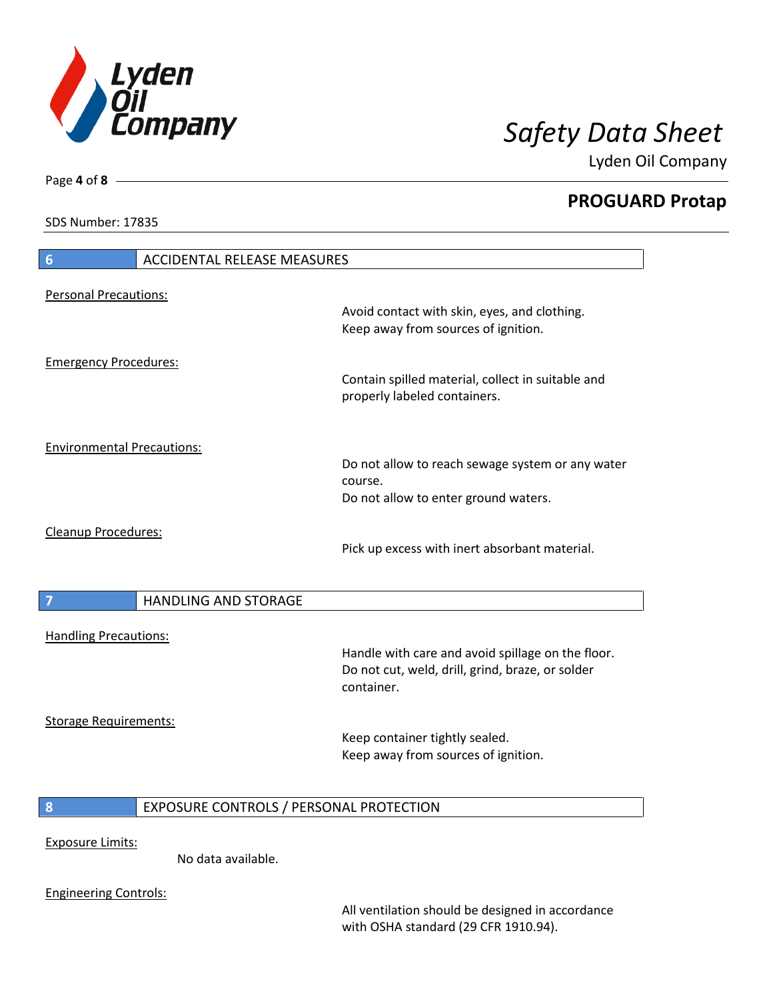

**PROGUARD Protap**

SDS Number: 17835

Page **4** of **8**

| 6                                 | <b>ACCIDENTAL RELEASE MEASURES</b>                            |                                                                                     |  |
|-----------------------------------|---------------------------------------------------------------|-------------------------------------------------------------------------------------|--|
| <b>Personal Precautions:</b>      |                                                               |                                                                                     |  |
|                                   |                                                               | Avoid contact with skin, eyes, and clothing.<br>Keep away from sources of ignition. |  |
| <b>Emergency Procedures:</b>      |                                                               | Contain spilled material, collect in suitable and<br>properly labeled containers.   |  |
| <b>Environmental Precautions:</b> |                                                               | Do not allow to reach sewage system or any water                                    |  |
|                                   |                                                               | course.<br>Do not allow to enter ground waters.                                     |  |
| Cleanup Procedures:               |                                                               | Pick up excess with inert absorbant material.                                       |  |
| 7                                 | <b>HANDLING AND STORAGE</b>                                   |                                                                                     |  |
| <b>Handling Precautions:</b>      |                                                               |                                                                                     |  |
|                                   |                                                               | Handle with care and avoid spillage on the floor.                                   |  |
|                                   |                                                               | Do not cut, weld, drill, grind, braze, or solder<br>container.                      |  |
| <b>Storage Requirements:</b>      |                                                               | Keep container tightly sealed.<br>Keep away from sources of ignition.               |  |
|                                   |                                                               |                                                                                     |  |
| 8<br><b>Exposure Limits:</b>      | EXPOSURE CONTROLS / PERSONAL PROTECTION<br>No data available. |                                                                                     |  |

All ventilation should be designed in accordance with OSHA standard (29 CFR 1910.94).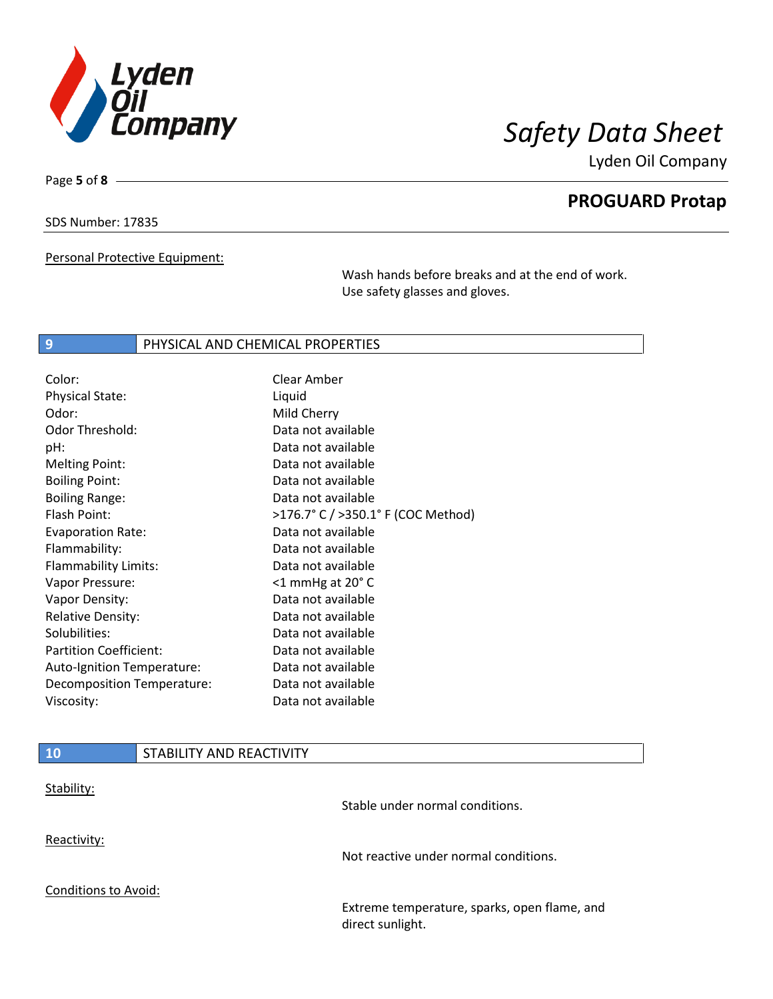

**PROGUARD Protap**

SDS Number: 17835

Page **5** of **8**

Personal Protective Equipment:

Wash hands before breaks and at the end of work. Use safety glasses and gloves.

## **9** PHYSICAL AND CHEMICAL PROPERTIES

| Liquid                             |
|------------------------------------|
| Mild Cherry                        |
| Data not available                 |
| Data not available                 |
| Data not available                 |
| Data not available                 |
| Data not available                 |
| >176.7° C / >350.1° F (COC Method) |
| Data not available                 |
| Data not available                 |
| Data not available                 |
| $<$ 1 mmHg at 20 $^{\circ}$ C      |
| Data not available                 |
| Data not available                 |
| Data not available                 |
| Data not available                 |
| Data not available                 |
| Data not available                 |
| Data not available                 |
|                                    |

| <b>10</b>            | STABILITY AND REACTIVITY |                                                                  |
|----------------------|--------------------------|------------------------------------------------------------------|
| Stability:           |                          | Stable under normal conditions.                                  |
| Reactivity:          |                          | Not reactive under normal conditions.                            |
| Conditions to Avoid: |                          | Extreme temperature, sparks, open flame, and<br>direct sunlight. |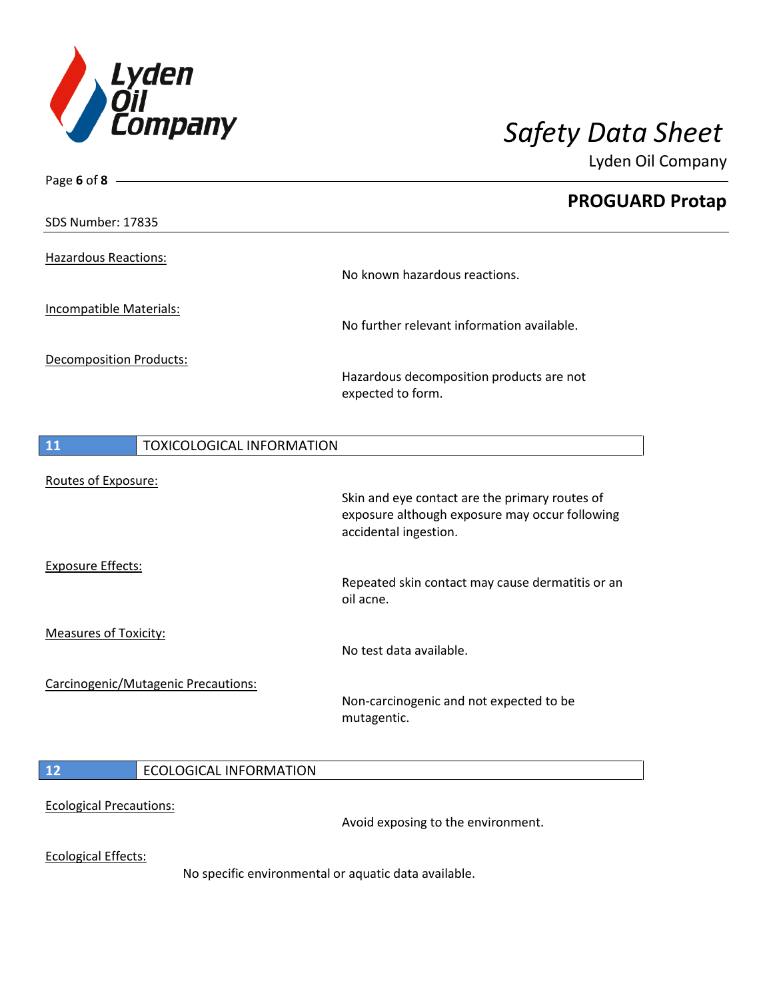

| Page 6 of 8 $\longrightarrow$       |                                                                                                                           |
|-------------------------------------|---------------------------------------------------------------------------------------------------------------------------|
|                                     | <b>PROGUARD Protap</b>                                                                                                    |
| SDS Number: 17835                   |                                                                                                                           |
| <b>Hazardous Reactions:</b>         | No known hazardous reactions.                                                                                             |
| <b>Incompatible Materials:</b>      | No further relevant information available.                                                                                |
| Decomposition Products:             | Hazardous decomposition products are not<br>expected to form.                                                             |
| TOXICOLOGICAL INFORMATION<br>11     |                                                                                                                           |
| Routes of Exposure:                 | Skin and eye contact are the primary routes of<br>exposure although exposure may occur following<br>accidental ingestion. |
| <b>Exposure Effects:</b>            | Repeated skin contact may cause dermatitis or an<br>oil acne.                                                             |
| <b>Measures of Toxicity:</b>        | No test data available.                                                                                                   |
| Carcinogenic/Mutagenic Precautions: | Non-carcinogenic and not expected to be<br>mutagentic.                                                                    |
| 12<br><b>ECOLOGICAL INFORMATION</b> |                                                                                                                           |
| <b>Ecological Precautions:</b>      | Avoid exposing to the environment.                                                                                        |
| <b>Ecological Effects:</b>          | No specific environmental or aquatic data available.                                                                      |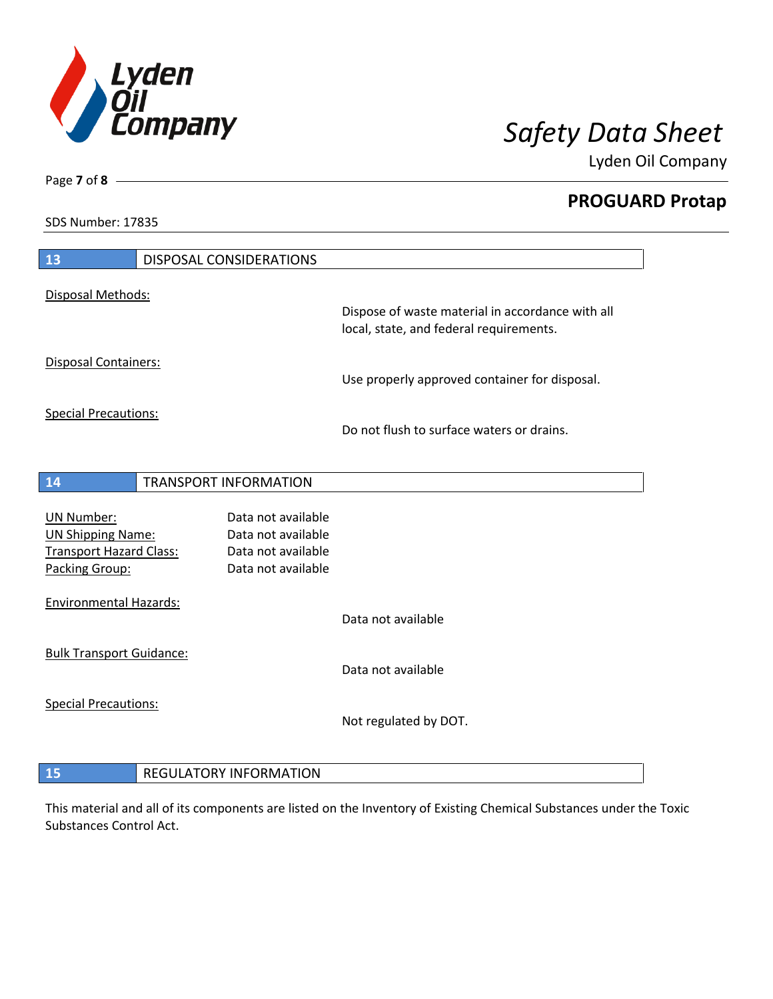

**PROGUARD Protap**

SDS Number: 17835

Page **7** of **8**

| 13                              |  | <b>DISPOSAL CONSIDERATIONS</b> |                                                                                             |
|---------------------------------|--|--------------------------------|---------------------------------------------------------------------------------------------|
| Disposal Methods:               |  |                                |                                                                                             |
|                                 |  |                                | Dispose of waste material in accordance with all<br>local, state, and federal requirements. |
| Disposal Containers:            |  |                                | Use properly approved container for disposal.                                               |
| <b>Special Precautions:</b>     |  |                                |                                                                                             |
|                                 |  |                                | Do not flush to surface waters or drains.                                                   |
| 14                              |  | <b>TRANSPORT INFORMATION</b>   |                                                                                             |
| <b>UN Number:</b>               |  | Data not available             |                                                                                             |
| <b>UN Shipping Name:</b>        |  | Data not available             |                                                                                             |
| <b>Transport Hazard Class:</b>  |  | Data not available             |                                                                                             |
| Packing Group:                  |  | Data not available             |                                                                                             |
| <b>Environmental Hazards:</b>   |  |                                |                                                                                             |
|                                 |  |                                | Data not available                                                                          |
| <b>Bulk Transport Guidance:</b> |  |                                | Data not available                                                                          |
|                                 |  |                                |                                                                                             |
| <b>Special Precautions:</b>     |  |                                | Not regulated by DOT.                                                                       |
|                                 |  |                                |                                                                                             |
| 15                              |  | <b>REGULATORY INFORMATION</b>  |                                                                                             |

This material and all of its components are listed on the Inventory of Existing Chemical Substances under the Toxic Substances Control Act.